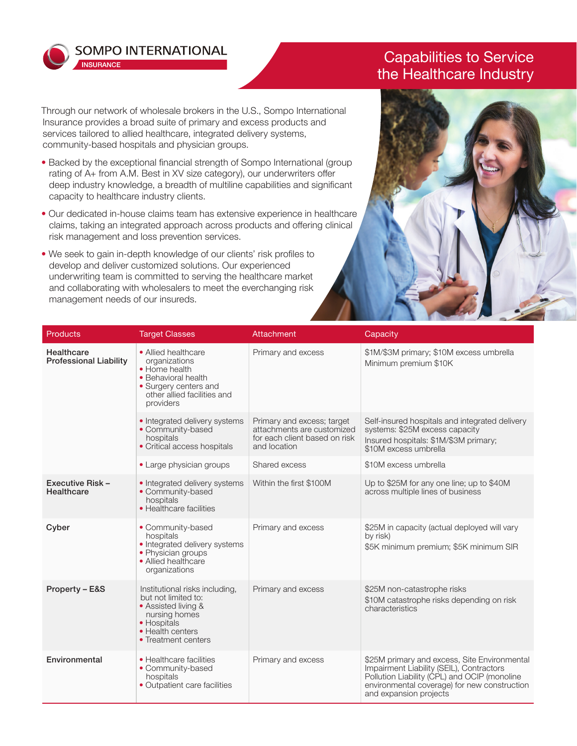

**INSURANCE** 

**SOMPO INTERNATIONAL** 

Through our network of wholesale brokers in the U.S., Sompo International Insurance provides a broad suite of primary and excess products and services tailored to allied healthcare, integrated delivery systems, community-based hospitals and physician groups.

- Backed by the exceptional financial strength of Sompo International (group rating of A+ from A.M. Best in XV size category), our underwriters offer deep industry knowledge, a breadth of multiline capabilities and significant capacity to healthcare industry clients.
- Our dedicated in-house claims team has extensive experience in healthcare claims, taking an integrated approach across products and offering clinical risk management and loss prevention services.
- We seek to gain in-depth knowledge of our clients' risk profiles to develop and deliver customized solutions. Our experienced underwriting team is committed to serving the healthcare market and collaborating with wholesalers to meet the everchanging risk management needs of our insureds.

## Capabilities to Service the Healthcare Industry



| <b>Products</b>                             | <b>Target Classes</b>                                                                                                                                   | Attachment                                                                                                | Capacity                                                                                                                                                                                                           |
|---------------------------------------------|---------------------------------------------------------------------------------------------------------------------------------------------------------|-----------------------------------------------------------------------------------------------------------|--------------------------------------------------------------------------------------------------------------------------------------------------------------------------------------------------------------------|
| Healthcare<br><b>Professional Liability</b> | • Allied healthcare<br>organizations<br>• Home health<br>• Behavioral health<br>• Surgery centers and<br>other allied facilities and<br>providers       | Primary and excess                                                                                        | \$1M/\$3M primary; \$10M excess umbrella<br>Minimum premium \$10K                                                                                                                                                  |
|                                             | • Integrated delivery systems<br>• Community-based<br>hospitals<br>• Critical access hospitals                                                          | Primary and excess; target<br>attachments are customized<br>for each client based on risk<br>and location | Self-insured hospitals and integrated delivery<br>systems: \$25M excess capacity<br>Insured hospitals: \$1M/\$3M primary;<br>\$10M excess umbrella                                                                 |
|                                             | • Large physician groups                                                                                                                                | Shared excess                                                                                             | \$10M excess umbrella                                                                                                                                                                                              |
| Executive Risk -<br><b>Healthcare</b>       | • Integrated delivery systems<br>• Community-based<br>hospitals<br>• Healthcare facilities                                                              | Within the first \$100M                                                                                   | Up to \$25M for any one line; up to \$40M<br>across multiple lines of business                                                                                                                                     |
| Cyber                                       | • Community-based<br>hospitals<br>• Integrated delivery systems<br>• Physician groups<br>• Allied healthcare<br>organizations                           | Primary and excess                                                                                        | \$25M in capacity (actual deployed will vary<br>by risk)<br>\$5K minimum premium; \$5K minimum SIR                                                                                                                 |
| Property - E&S                              | Institutional risks including,<br>but not limited to:<br>• Assisted living &<br>nursing homes<br>• Hospitals<br>• Health centers<br>• Treatment centers | Primary and excess                                                                                        | \$25M non-catastrophe risks<br>\$10M catastrophe risks depending on risk<br>characteristics                                                                                                                        |
| Environmental                               | • Healthcare facilities<br>• Community-based<br>hospitals<br>• Outpatient care facilities                                                               | Primary and excess                                                                                        | \$25M primary and excess, Site Environmental<br>Impairment Liability (SEIL), Contractors<br>Pollution Liability (CPL) and OCIP (monoline<br>environmental coverage) for new construction<br>and expansion projects |